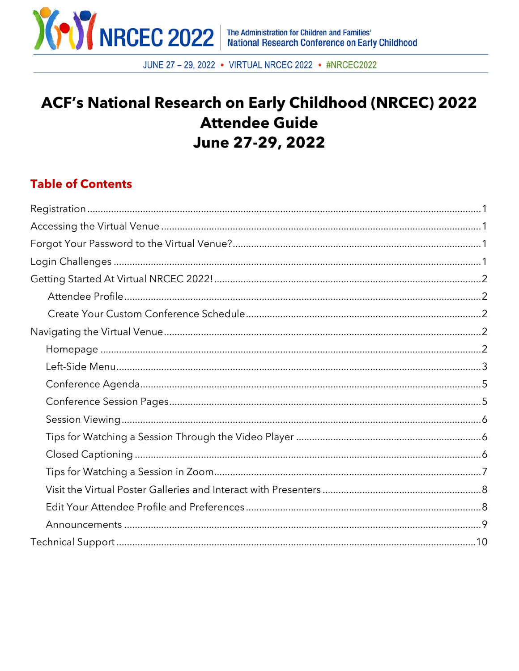

JUNE 27 - 29, 2022 • VIRTUAL NRCEC 2022 • #NRCEC2022

# ACF's National Research on Early Childhood (NRCEC) 2022 **Attendee Guide** June 27-29, 2022

## **Table of Contents**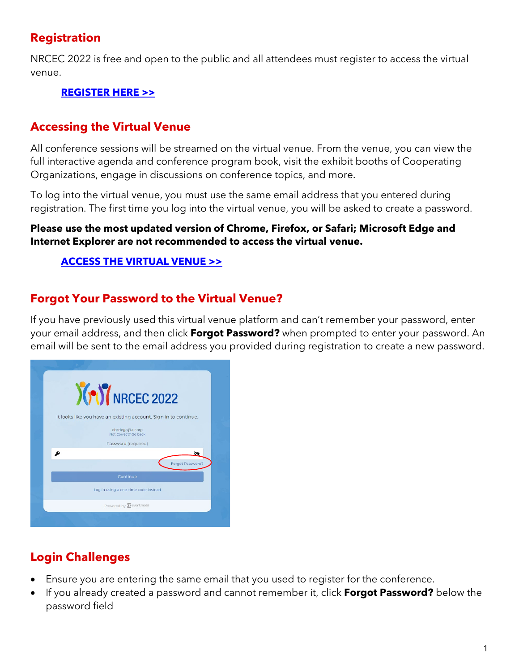## <span id="page-1-0"></span>**Registration**

NRCEC 2022 is free and open to the public and all attendees must register to access the virtual venue.

#### **[REGISTER HERE >>](https://nrcec.swoogo.com/NRCEC2022)**

## <span id="page-1-1"></span>**Accessing the Virtual Venue**

All conference sessions will be streamed on the virtual venue. From the venue, you can view the full interactive agenda and conference program book, visit the exhibit booths of Cooperating Organizations, engage in discussions on conference topics, and more.

To log into the virtual venue, you must use the same email address that you entered during registration. The first time you log into the virtual venue, you will be asked to create a password.

#### **Please use the most updated version of Chrome, Firefox, or Safari; Microsoft Edge and Internet Explorer are not recommended to access the virtual venue.**

### **[ACCESS THE VIRTUAL VENUE >>](https://eventmobi.com/nrcec2022/)**

## <span id="page-1-2"></span>**Forgot Your Password to the Virtual Venue?**

If you have previously used this virtual venue platform and can't remember your password, enter your email address, and then click **Forgot Password?** when prompted to enter your password. An email will be sent to the email address you provided during registration to create a new password.



## <span id="page-1-3"></span>**Login Challenges**

- Ensure you are entering the same email that you used to register for the conference.
- If you already created a password and cannot remember it, click **Forgot Password?** below the password field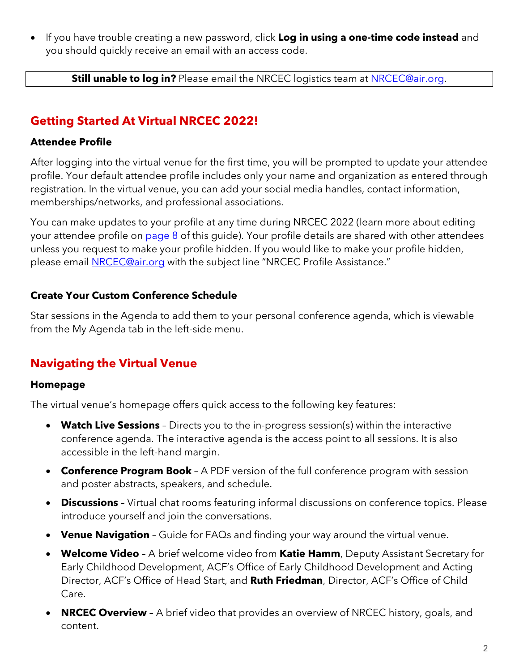• If you have trouble creating a new password, click **Log in using a one-time code instead** and you should quickly receive an email with an access code.

**Still unable to log in?** Please email the NRCEC logistics team at **NRCEC@air.org.** 

## <span id="page-2-0"></span>**Getting Started At Virtual NRCEC 2022!**

#### <span id="page-2-1"></span>**Attendee Profile**

After logging into the virtual venue for the first time, you will be prompted to update your attendee profile. Your default attendee profile includes only your name and organization as entered through registration. In the virtual venue, you can add your social media handles, contact information, memberships/networks, and professional associations.

You can make updates to your profile at any time during NRCEC 2022 (learn more about editing your attendee profile on [page 8](#page-8-2) of this guide). Your profile details are shared with other attendees unless you request to make your profile hidden. If you would like to make your profile hidden, please email **NRCEC@air.org** with the subject line "NRCEC Profile Assistance."

#### <span id="page-2-2"></span>**Create Your Custom Conference Schedule**

Star sessions in the Agenda to add them to your personal conference agenda, which is viewable from the My Agenda tab in the left-side menu.

## <span id="page-2-3"></span>**Navigating the Virtual Venue**

#### <span id="page-2-4"></span>**Homepage**

The virtual venue's homepage offers quick access to the following key features:

- **Watch Live Sessions**  Directs you to the in-progress session(s) within the interactive conference agenda. The interactive agenda is the access point to all sessions. It is also accessible in the left-hand margin.
- **Conference Program Book** A PDF version of the full conference program with session and poster abstracts, speakers, and schedule.
- **Discussions** Virtual chat rooms featuring informal discussions on conference topics. Please introduce yourself and join the conversations.
- **Venue Navigation** Guide for FAQs and finding your way around the virtual venue.
- **Welcome Video** A brief welcome video from **Katie Hamm**, Deputy Assistant Secretary for Early Childhood Development, ACF's Office of Early Childhood Development and Acting Director, ACF's Office of Head Start, and **Ruth Friedman**, Director, ACF's Office of Child Care.
- **NRCEC Overview** A brief video that provides an overview of NRCEC history, goals, and content.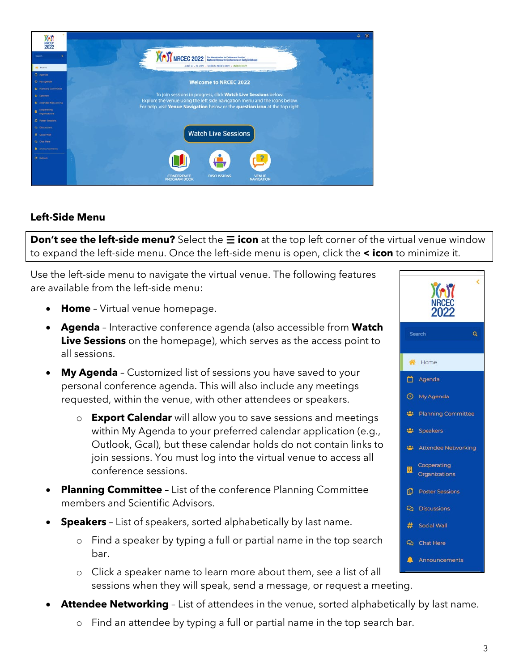

#### <span id="page-3-0"></span>**Left-Side Menu**

**Don't see the left-side menu?** Select the **≡ icon** at the top left corner of the virtual venue window to expand the left-side menu. Once the left-side menu is open, click the **< icon** to minimize it.

Use the left-side menu to navigate the virtual venue. The following features are available from the left-side menu:

- **Home** Virtual venue homepage.
- **Agenda** Interactive conference agenda (also accessible from **Watch Live Sessions** on the homepage), which serves as the access point to all sessions.
- **My Agenda** Customized list of sessions you have saved to your personal conference agenda. This will also include any meetings requested, within the venue, with other attendees or speakers.
	- o **Export Calendar** will allow you to save sessions and meetings within My Agenda to your preferred calendar application (e.g., Outlook, Gcal), but these calendar holds do not contain links to join sessions. You must log into the virtual venue to access all conference sessions.
- **Planning Committee**  List of the conference Planning Committee members and Scientific Advisors.
- **Speakers** List of speakers, sorted alphabetically by last name.
	- o Find a speaker by typing a full or partial name in the top search bar.
	- o Click a speaker name to learn more about them, see a list of all sessions when they will speak, send a message, or request a meeting.
- **Attendee Networking** List of attendees in the venue, sorted alphabetically by last name.
	- o Find an attendee by typing a full or partial name in the top search bar.

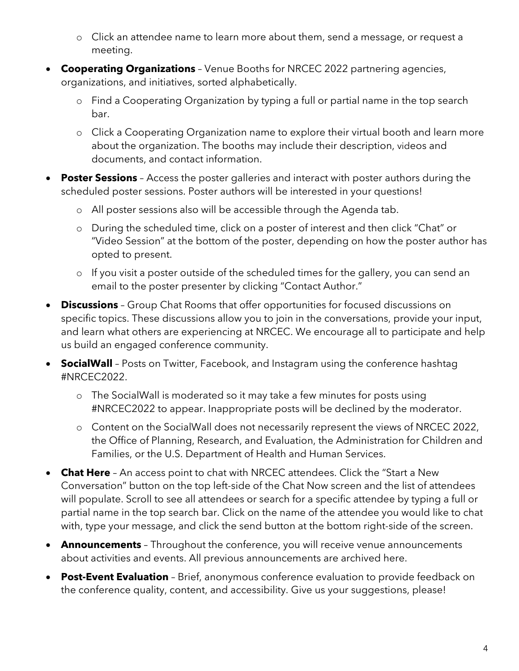- o Click an attendee name to learn more about them, send a message, or request a meeting.
- **Cooperating Organizations** Venue Booths for NRCEC 2022 partnering agencies, organizations, and initiatives, sorted alphabetically.
	- o Find a Cooperating Organization by typing a full or partial name in the top search bar.
	- o Click a Cooperating Organization name to explore their virtual booth and learn more about the organization. The booths may include their description, videos and documents, and contact information.
- **Poster Sessions** Access the poster galleries and interact with poster authors during the scheduled poster sessions. Poster authors will be interested in your questions!
	- o All poster sessions also will be accessible through the Agenda tab.
	- o During the scheduled time, click on a poster of interest and then click "Chat" or "Video Session" at the bottom of the poster, depending on how the poster author has opted to present.
	- o If you visit a poster outside of the scheduled times for the gallery, you can send an email to the poster presenter by clicking "Contact Author."
- **Discussions** Group Chat Rooms that offer opportunities for focused discussions on specific topics. These discussions allow you to join in the conversations, provide your input, and learn what others are experiencing at NRCEC. We encourage all to participate and help us build an engaged conference community.
- **SocialWall** Posts on Twitter, Facebook, and Instagram using the conference hashtag #NRCEC2022.
	- o The SocialWall is moderated so it may take a few minutes for posts using #NRCEC2022 to appear. Inappropriate posts will be declined by the moderator.
	- o Content on the SocialWall does not necessarily represent the views of NRCEC 2022, the Office of Planning, Research, and Evaluation, the Administration for Children and Families, or the U.S. Department of Health and Human Services.
- **Chat Here** An access point to chat with NRCEC attendees. Click the "Start a New Conversation" button on the top left-side of the Chat Now screen and the list of attendees will populate. Scroll to see all attendees or search for a specific attendee by typing a full or partial name in the top search bar. Click on the name of the attendee you would like to chat with, type your message, and click the send button at the bottom right-side of the screen.
- **Announcements** Throughout the conference, you will receive venue announcements about activities and events. All previous announcements are archived here.
- <span id="page-4-0"></span>• **Post-Event Evaluation** – Brief, anonymous conference evaluation to provide feedback on the conference quality, content, and accessibility. Give us your suggestions, please!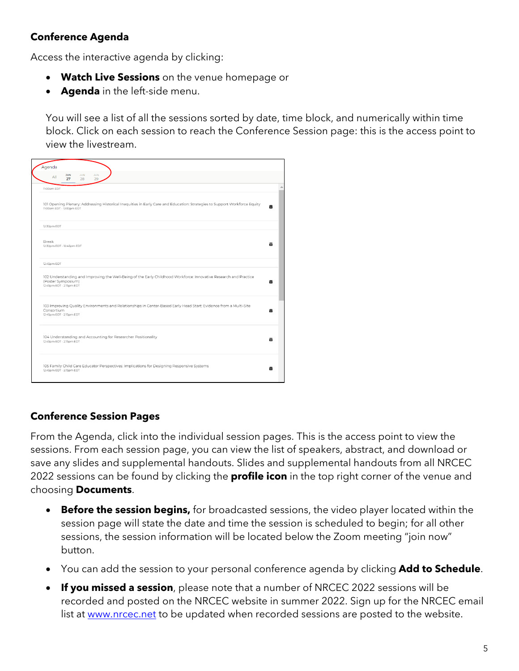#### **Conference Agenda**

Access the interactive agenda by clicking:

- **Watch Live Sessions** on the venue homepage or
- **Agenda** in the left-side menu.

You will see a list of all the sessions sorted by date, time block, and numerically within time block. Click on each session to reach the Conference Session page: this is the access point to view the livestream.

| <b>JUN</b><br><b>JUN</b><br>3UN.<br>All<br>27<br>29<br>28                                                                                                                               |   |
|-----------------------------------------------------------------------------------------------------------------------------------------------------------------------------------------|---|
| 11:00am EDT                                                                                                                                                                             |   |
| 101 Opening Plenary: Addressing Historical Inequities in Early Care and Education: Strategies to Support Workforce Equity<br>11:00am EDT - 12:30pm EDT                                  | 苛 |
| 12:30pm EDT                                                                                                                                                                             |   |
| Break<br>12:30pm EDT - 12:45pm EDT                                                                                                                                                      | 首 |
| 12:45pm EDT                                                                                                                                                                             |   |
| 102 Understanding and Improving the Well-Being of the Early Childhood Workforce: Innovative Research and Practice<br>(Poster Symposium)                                                 | 音 |
|                                                                                                                                                                                         |   |
| 12:45pm EDT - 2:15pm EDT<br>103 Improving Quality Environments and Relationships in Center-Based Early Head Start: Evidence from a Multi-Site<br>Consortium<br>12:45pm EDT - 2:15pm EDT | 蒜 |
| 104 Understanding and Accounting for Researcher Positionality<br>12:45pm EDT - 2:15pm EDT                                                                                               | 苛 |

#### <span id="page-5-0"></span>**Conference Session Pages**

From the Agenda, click into the individual session pages. This is the access point to view the sessions. From each session page, you can view the list of speakers, abstract, and download or save any slides and supplemental handouts. Slides and supplemental handouts from all NRCEC 2022 sessions can be found by clicking the **profile icon** in the top right corner of the venue and choosing **Documents**.

- **Before the session begins,** for broadcasted sessions, the video player located within the session page will state the date and time the session is scheduled to begin; for all other sessions, the session information will be located below the Zoom meeting "join now" button.
- You can add the session to your personal conference agenda by clicking **Add to Schedule**.
- **If you missed a session**, please note that a number of NRCEC 2022 sessions will be recorded and posted on the NRCEC website in summer 2022. Sign up for the NRCEC email list at [www.nrcec.net](http://www.nrcec.net/) to be updated when recorded sessions are posted to the website.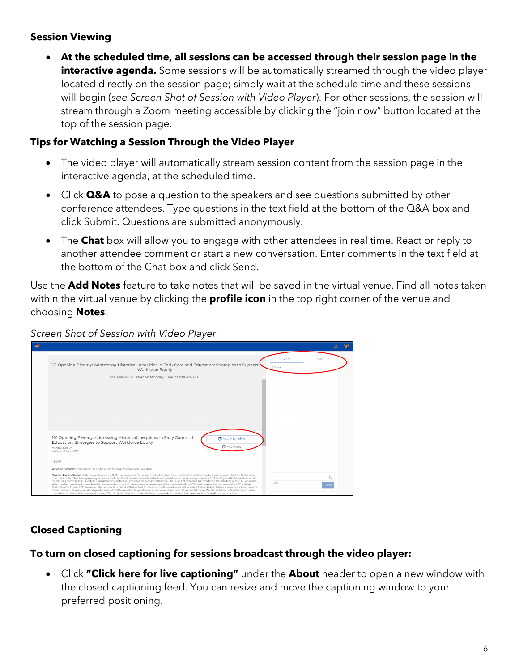#### <span id="page-6-0"></span>**Session Viewing**

• **At the scheduled time, all sessions can be accessed through their session page in the interactive agenda.** Some sessions will be automatically streamed through the video player located directly on the session page; simply wait at the schedule time and these sessions will begin (*see Screen Shot of Session with Video Player*). For other sessions, the session will stream through a Zoom meeting accessible by clicking the "join now" button located at the top of the session page.

#### <span id="page-6-1"></span>**Tips for Watching a Session Through the Video Player**

- The video player will automatically stream session content from the session page in the interactive agenda, at the scheduled time.
- Click **Q&A** to pose a question to the speakers and see questions submitted by other conference attendees. Type questions in the text field at the bottom of the Q&A box and click Submit. Questions are submitted anonymously.
- The **Chat** box will allow you to engage with other attendees in real time. React or reply to another attendee comment or start a new conversation. Enter comments in the text field at the bottom of the Chat box and click Send.

Use the **Add Notes** feature to take notes that will be saved in the virtual venue. Find all notes taken within the virtual venue by clicking the **profile icon** in the top right corner of the venue and choosing **Notes**.

*Screen Shot of Session with Video Player*

| ≔ |                                                                                                                                                                                                                                                                                                                                                                                                                                                                                                                                                                                                                                                                                                                                                                                                                                                                                                                                                                                                                                                                                                                                                                                                                                                                                                                                                                           | <b>D</b>                |
|---|---------------------------------------------------------------------------------------------------------------------------------------------------------------------------------------------------------------------------------------------------------------------------------------------------------------------------------------------------------------------------------------------------------------------------------------------------------------------------------------------------------------------------------------------------------------------------------------------------------------------------------------------------------------------------------------------------------------------------------------------------------------------------------------------------------------------------------------------------------------------------------------------------------------------------------------------------------------------------------------------------------------------------------------------------------------------------------------------------------------------------------------------------------------------------------------------------------------------------------------------------------------------------------------------------------------------------------------------------------------------------|-------------------------|
|   | 101 Opening Plenary: Addressing Historical Inequities in Early Care and Education: Strategies to Support<br>Workforce Equity                                                                                                                                                                                                                                                                                                                                                                                                                                                                                                                                                                                                                                                                                                                                                                                                                                                                                                                                                                                                                                                                                                                                                                                                                                              | O&A<br>Chat<br>2 Online |
|   | The session will start on Monday, June 27 11:00am EDT.                                                                                                                                                                                                                                                                                                                                                                                                                                                                                                                                                                                                                                                                                                                                                                                                                                                                                                                                                                                                                                                                                                                                                                                                                                                                                                                    |                         |
|   | 101 Opening Plenary: Addressing Historical Inequities in Early Care and<br>带 Add to Schedule<br>Education: Strategies to Support Workforce Equity<br>Add Notes<br>Monday, June 27<br>11:00am - 12:30pm EDT<br>ABOUT                                                                                                                                                                                                                                                                                                                                                                                                                                                                                                                                                                                                                                                                                                                                                                                                                                                                                                                                                                                                                                                                                                                                                       |                         |
|   | Welcome Remarks: Emily Schmitt, ACE's Office of Planning, Research, and Evaluation<br>Opening Plenary Session: Early care and education (ECE) has been found to be an important strategy for supporting the positive development of young children. At the same<br>time, the ECE field has been grappling for years about how best to ensure fair and equitable compensation for workers, a key component of employee retention and important<br>for ensuring access to high-quality ECE programming for families and children. Alongside this issue, the COVID-19 pandemic has resulted in the shrinking of the ECE workforce,<br>which has been catalyzed in part by safety concerns as well as individuals' broader evaluations of their professional lives. The end result, a phenomenon coined, "The Great<br>Resignation" is forcing ECE, like many other sectors, to contend with how best to retain staff. In this session, we will provide a first-of-its-kind historical overview of how the roots<br>of inequities in ECE along racial and gender lines in the U.S. are linked to workforce compensation disparities that are still felt today. We also will draw on this history and other<br>research, to explore pathways to move forward. This dynamic discussion will be facilitated by a moderator and include opportunities for audience participation. | ☺<br>0/280<br>Send      |

## <span id="page-6-2"></span>**Closed Captioning**

#### **To turn on closed captioning for sessions broadcast through the video player:**

• Click **"Click here for live captioning"** under the **About** header to open a new window with the closed captioning feed. You can resize and move the captioning window to your preferred positioning.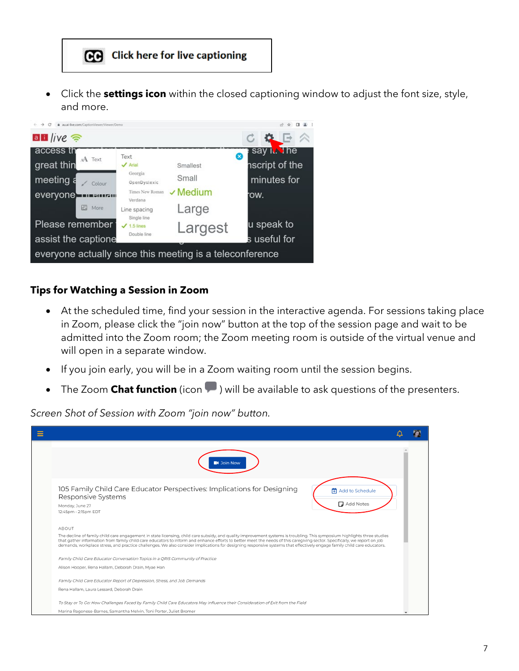GO Click here for live captioning

• Click the **settings icon** within the closed captioning window to adjust the font size, style, and more.



#### <span id="page-7-0"></span>**Tips for Watching a Session in Zoom**

- At the scheduled time, find your session in the interactive agenda. For sessions taking place in Zoom, please click the "join now" button at the top of the session page and wait to be admitted into the Zoom room; the Zoom meeting room is outside of the virtual venue and will open in a separate window.
- If you join early, you will be in a Zoom waiting room until the session begins.
- The Zoom **Chat function** (icon  $\blacksquare$  ) will be available to ask questions of the presenters.

 $\equiv$  $\Delta$ Ø **C** Join Now 105 Family Child Care Educator Perspectives: Implications for Designing 中 Add to Schedule Responsive Systems Add Notes Monday, June 27 12:45pm - 2:15pm EDT ABOUT The decline of family child care engagement in state licensing, child care subsidy, and quality improvement systems is troubling. This symposium highlights three studies<br>that gather information from family child care educa Family Child Care Educator Conversation Topics in a QRIS Community of Practice Alison Hooper, Rena Hallam, Deborah Drain, Myae Han Family Child Care Educator Report of Depression, Stress, and Job Demands Rena Hallam, Laura Lessard, Deborah Drain To Stay or To Go: How Challenges Faced by Family Child Care Educators May Influence their Consideration of Exit from the Field Marina Ragonese-Barnes, Samantha Melvin, Toni Porter, Juliet Brome

*Screen Shot of Session with Zoom "join now" button.*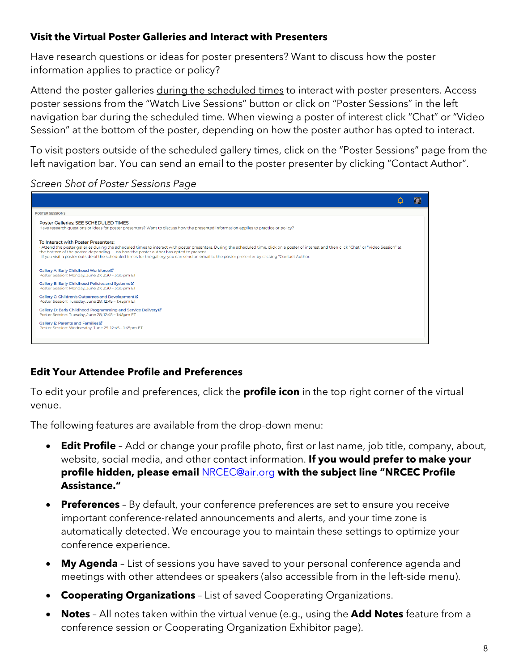#### <span id="page-8-0"></span>**Visit the Virtual Poster Galleries and Interact with Presenters**

Have research questions or ideas for poster presenters? Want to discuss how the poster information applies to practice or policy?

Attend the poster galleries during the scheduled times to interact with poster presenters. Access poster sessions from the "Watch Live Sessions" button or click on "Poster Sessions" in the left navigation bar during the scheduled time. When viewing a poster of interest click "Chat" or "Video Session" at the bottom of the poster, depending on how the poster author has opted to interact.

To visit posters outside of the scheduled gallery times, click on the "Poster Sessions" page from the left navigation bar. You can send an email to the poster presenter by clicking "Contact Author".

*Screen Shot of Poster Sessions Page* 



### <span id="page-8-2"></span><span id="page-8-1"></span>**Edit Your Attendee Profile and Preferences**

To edit your profile and preferences, click the **profile icon** in the top right corner of the virtual venue.

The following features are available from the drop-down menu:

- **Edit Profile** Add or change your profile photo, first or last name, job title, company, about, website, social media, and other contact information. **If you would prefer to make your profile hidden, please email** [NRCEC@air.org](mailto:NRCEC@air.org) **with the subject line "NRCEC Profile Assistance."**
- **Preferences** By default, your conference preferences are set to ensure you receive important conference-related announcements and alerts, and your time zone is automatically detected. We encourage you to maintain these settings to optimize your conference experience.
- **My Agenda** List of sessions you have saved to your personal conference agenda and meetings with other attendees or speakers (also accessible from in the left-side menu).
- **Cooperating Organizations** List of saved Cooperating Organizations.
- **Notes** All notes taken within the virtual venue (e.g., using the **Add Notes** feature from a conference session or Cooperating Organization Exhibitor page).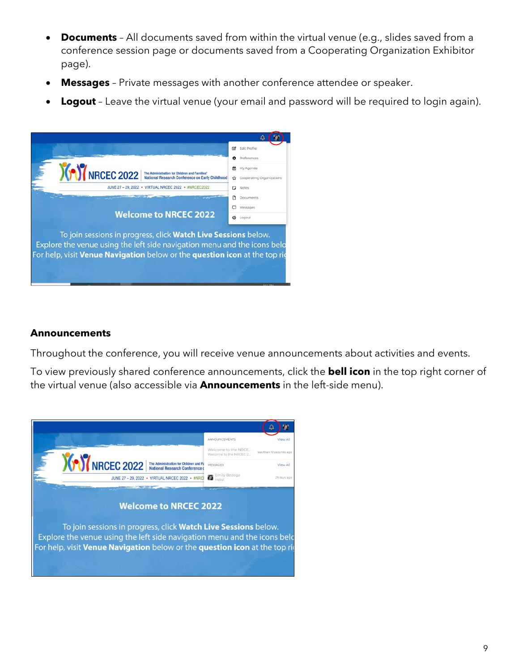- **Documents** All documents saved from within the virtual venue (e.g., slides saved from a conference session page or documents saved from a Cooperating Organization Exhibitor page).
- **Messages** Private messages with another conference attendee or speaker.
- **Logout** Leave the virtual venue (your email and password will be required to login again).



#### <span id="page-9-0"></span>**Announcements**

Throughout the conference, you will receive venue announcements about activities and events.

To view previously shared conference announcements, click the **bell icon** in the top right corner of the virtual venue (also accessible via **Announcements** in the left-side menu).

<span id="page-9-1"></span>